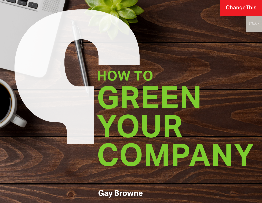## **ChangeThis**

# **HOW TO GREEN YOUR COMPANY**

**Gay Browne**

<u> 25. </u>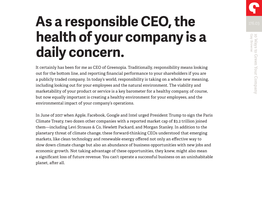# **As a responsible CEO, the health of your company is a daily concern.**

It certainly has been for me as CEO of Greenopia. Traditionally, responsibility means looking out for the bottom line, and reporting financial performance to your shareholders if you are a publicly traded company. In today's world, responsibility is taking on a whole new meaning, including looking out for your employees and the natural environment. The viability and marketability of your product or service is a key barometer for a healthy company, of course, but now equally important is creating a healthy environment for your employees, and the environmental impact of your company's operations.

In June of 2017 when Apple, Facebook, Google and Intel urged President Trump to sign the Paris Climate Treaty, two dozen other companies with a reported market cap of \$3.2 trillion joined them—including Levi Strauss & Co, Hewlett Packard, and Morgan Stanley. In addition to the planetary threat of climate change, these forward-thinking CEOs understood that emerging markets, like clean technology and renewable energy offered not only an effective way to slow down climate change but also an abundance of business opportunities with new jobs and economic growth. Not taking advantage of these opportunities, they knew, might also mean a significant loss of future revenue. You can't operate a successful business on an uninhabitable planet, after all.

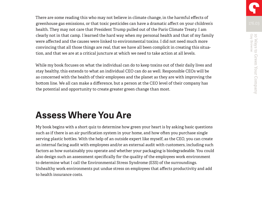There are some reading this who may not believe in climate change, in the harmful effects of greenhouse gas emissions, or that toxic pesticides can have a dramatic affect on your children's health. They may not care that President Trump pulled out of the Paris Climate Treaty. I am clearly not in that camp. I learned the hard way when my personal health and that of my family were affected and the causes were linked to environmental toxins. I did not need much more convincing that all those things are real, that we have all been complicit in creating this situation, and that we are at a critical juncture at which we need to take action at all levels.

While my book focuses on what the individual can do to keep toxins out of their daily lives and stay healthy, this extends to what an individual CEO can do as well. Responsible CEOs will be as concerned with the health of their employees and the planet as they are with improving the bottom line. We all can make a difference, but a person at the CEO level of their company has the potential and opportunity to create greater green change than most.

## **Assess Where You Are**

My book begins with a short quiz to determine how green your heart is by asking basic questions such as if there is an air purification system in your home, and how often you purchase single serving plastic bottles. With the help of an outside expert like myself, as the CEO, you can create an internal facing audit with employees and/or an external audit with customers, including such factors as how sustainably you operate and whether your packaging is biodegradeable. You could also design such an assessment specifically for the quality of the employees work environment to determine what I call the Environmental Stress Syndrome (ESS) of the surroundings. Unhealthy work environments put undue stress on employees that affects productivity and add to health insurance costs.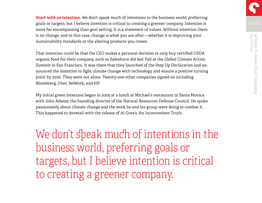**Start with an intention.** We don't speak much of intentions in the business world, preferring goals or targets, but I believe intention is critical to creating a greener company. Intention is more far encompassing than goal setting. It is a statement of values. Without intention there is no change, and in this case, change is what you are after—whether it is improving your sustainability standards or the altering products you create.

That intention could be that the CEO makes a personal decision to only buy certified USDA organic food for their company, such as Salesforce did last Fall at the Global Climate Action Summit in San Francisco. It was there that they launched of the Step Up Declaration and announced the intention to fight climate change with technology and ensure a positive turning point by 2020. They were not alone. Twenty-one other companies signed on including Bloomberg, Uber, WeWork, and HP.

My initial green intention began in 2005 at a lunch at Michael's restaurant in Santa Monica with John Adams, the founding director of the Natural Resources Defense Council. He spoke passionately about climate change and the work he and his group were doing to combat it. This happened to dovetail with the release of Al Gore's, An Inconvenient Truth.

We don't speak much of intentions in the business world, preferring goals or targets, but I believe intention is critical to creating a greener company.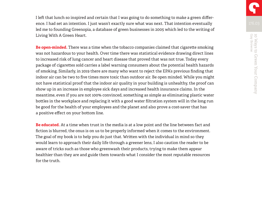I left that lunch so inspired and certain that I was going to do something to make a green difference. I had set an intention. I just wasn't exactly sure what was next. That intention eventually led me to founding Greenopia, a database of green businesses in 2005 which led to the writing of Living With A Green Heart.

**Be open-minded.** There was a time when the tobacco companies claimed that cigarette smoking was not hazardous to your health. Over time there was statistical evidence drawing direct lines to increased risk of lung cancer and heart disease that proved that was not true. Today every package of cigarettes sold carries a label warning consumers about the potential health hazards of smoking. Similarly, in 2019 there are many who want to reject the EPA's previous finding that indoor air can be two to five times more toxic than outdoor air. Be open minded. While you might not have statistical proof that the indoor air quality in your building is unhealthy, the proof can show up in an increase in employee sick days and increased health insurance claims. In the meantime, even if you are not 100% convinced, something as simple as eliminating plastic water bottles in the workplace and replacing it with a good water filtration system will in the long run be good for the health of your employees and the planet and also prove a cost-saver that has a positive effect on your bottom line.

**Be educated.** At a time when trust in the media is at a low point and the line between fact and fiction is blurred, the onus is on us to be properly informed when it comes to the environment. The goal of my book is to help you do just that. Written with the individual in mind so they would learn to approach their daily life through a greener lens, I also caution the reader to be aware of tricks such as those who greenwash their products, trying to make them appear healthier than they are and guide them towards what I consider the most reputable resources for the truth.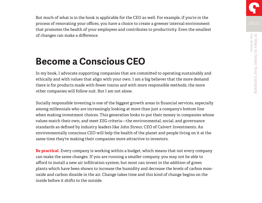But much of what is in the book is applicable for the CEO as well. For example, if you're in the process of renovating your offices, you have a choice to create a greener internal environment that promotes the health of your employees and contributes to productivity. Even the smallest of changes can make a difference.

# **Become a Conscious CEO**

In my book, I advocate supporting companies that are committed to operating sustainably and ethically and with values that align with your own. I am a big believer that the more demand there is for products made with fewer toxins and with more responsible methods, the more other companies will follow suit. But I am not alone.

Socially responsible investing is one of the biggest growth areas in financial services, especially among millennials who are increasingly looking at more than just a company's bottom line when making investment choices. This generation looks to put their money in companies whose values match their own, and meet ESG criteria—the environmental, social, and governance standards as defined by industry leaders like John Streur, CEO of Calvert Investments. An environmentally conscious CEO will help the health of the planet and people living on it at the same time they're making their companies more attractive to investors.

**Be practical.** Every company is working within a budget, which means that not every company can make the same changes. If you are running a smaller company, you may not be able to afford to install a new air infiltration system, but most can invest in the addition of green plants which have been shown to increase the humidity and decrease the levels of carbon monoxide and carbon dioxide in the air. Change takes time and this kind of change begins on the inside before it shifts to the outside.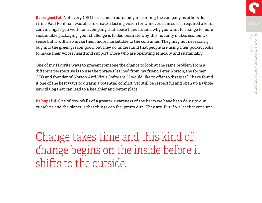**Be respectful.** Not every CEO has as much autonomy in running the company as others do. While Paul Pohlman was able to create a lasting vision for Unilever, I am sure it required a lot of convincing. If you work for a company that doesn't understand why you want to change to more sustainable packaging, your challenge is to demonstrate why this not only makes economicsense but it will also make them more marketable to the consumer. They may not necessarily buy into the green greater good, but they do understand that people are using their pocketbooks to make their voices heard and support those who are operating ethically and sustainably.

One of my favorite ways to present someone the chance to look at the same problem from a different perspective is to use the phrase I learned from my friend Peter Norton, the former CEO and founder of Norton Anti-Virus Software. "I would like to offer to disagree." I have found it one of the best ways to disarm a potential conflict, yet still be respectful and open up a whole new dialog that can lead to a healthier and better place.

**Be hopeful.** One of downfalls of a greater awareness of the harm we have been doing to our ourselves and the planet is that things can feel pretty dire. They are. But if we let that consume

Change takes time and this kind of change begins on the inside before it shifts to the outside.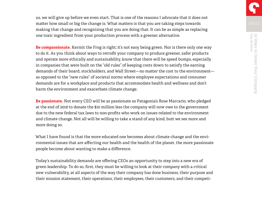us, we will give up before we even start. That is one of the reasons I advocate that it does not matter how small or big the change is. What matters is that you are taking steps towards making that change and recognizing that you are doing that. It can be as simple as replacing one toxic ingredient from your production process with a greener alternative.

**Be compassionate.** Kermit the Frog is right; it's not easy being green. Nor is there only one way to do it. As you think about ways to retrofit your company to produce greener, safer products and operate more ethically and sustainability, know that there will be speed bumps, especially in companies that were built on the "old rules" of keeping costs down to satisfy the earning demands of their board, stockholders, and Wall Street—no matter the cost to the environment as opposed to the "new rules" of societal norms where employee expectations and consumer demands are for a workplace and products that accommodate health and wellness and don't harm the environment and exacerbate climate change.

**Be passionate.** Not every CEO will be as passionate as Patagonia's Rose Marcario, who pledged at the end of 2018 to donate the \$10 million less the company will now owe to the government due to the new federal tax laws to non-profits who work on issues related to the environment and climate change. Not all will be willing to take a stand of any kind, butt we see more and more doing so.

What I have found is that the more educated one becomes about climate change and the environmental issues that are affecting our health and the health of the planet, the more passionate people become about wanting to make a difference.

Today's sustainability demands are offering CEOs an opportunity to step into a new era of green leadership. To do so, first, they must be willing to look at their company with a critical new vulnerability, at all aspects of the way their company has done business, their purpose and their mission statement, their operations, their employees, their customers, and their competi-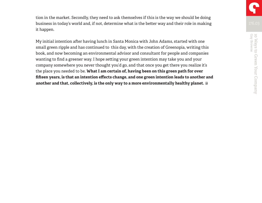tion in the market. Secondly, they need to ask themselves if this is the way we should be doing business in today's world and, if not, determine what is the better way and their role in making it happen.

My initial intention after having lunch in Santa Monica with John Adams, started with one small green ripple and has continued to this day, with the creation of Greenopia, writing this book, and now becoming an environmental advisor and consultant for people and companies wanting to find a greener way. I hope setting your green intention may take you and your company somewhere you never thought you'd go, and that once you get there you realize it's the place you needed to be. **What I am certain of, having been on this green path for over fifteen years, is that an intention effects change, and one green intention leads to another and another and that, collectively, is the only way to a more environmentally healthy planet.**